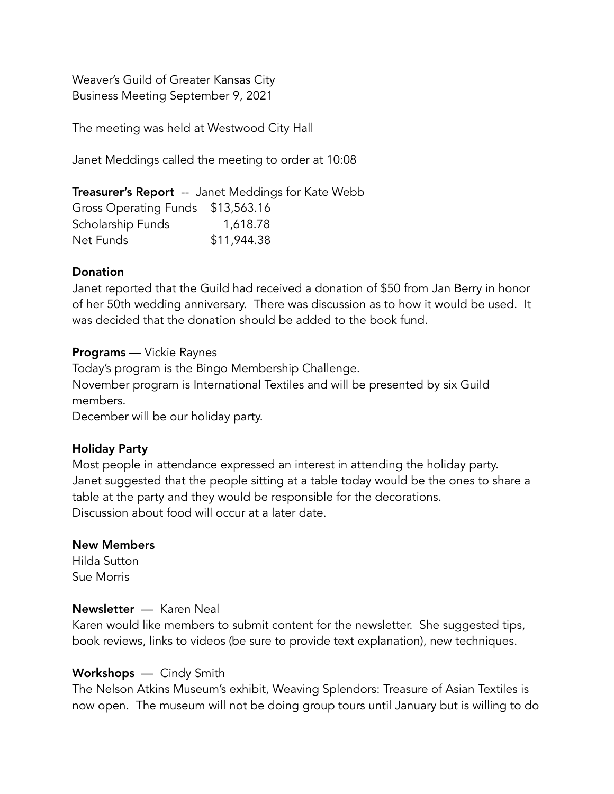Weaver's Guild of Greater Kansas City Business Meeting September 9, 2021

The meeting was held at Westwood City Hall

Janet Meddings called the meeting to order at 10:08

**Treasurer's Report** -- Janet Meddings for Kate Webb Gross Operating Funds \$13,563.16 Scholarship Funds 1,618.78 Net Funds \$11,944.38

### Donation

Janet reported that the Guild had received a donation of \$50 from Jan Berry in honor of her 50th wedding anniversary. There was discussion as to how it would be used. It was decided that the donation should be added to the book fund.

### Programs — Vickie Raynes

Today's program is the Bingo Membership Challenge. November program is International Textiles and will be presented by six Guild members.

December will be our holiday party.

# Holiday Party

Most people in attendance expressed an interest in attending the holiday party. Janet suggested that the people sitting at a table today would be the ones to share a table at the party and they would be responsible for the decorations. Discussion about food will occur at a later date.

### New Members

Hilda Sutton Sue Morris

### Newsletter — Karen Neal

Karen would like members to submit content for the newsletter. She suggested tips, book reviews, links to videos (be sure to provide text explanation), new techniques.

### Workshops — Cindy Smith

The Nelson Atkins Museum's exhibit, Weaving Splendors: Treasure of Asian Textiles is now open. The museum will not be doing group tours until January but is willing to do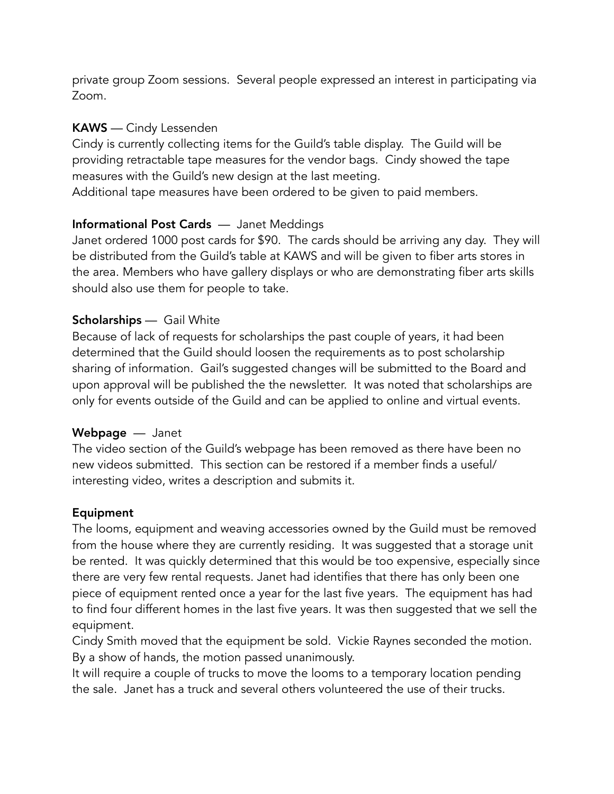private group Zoom sessions. Several people expressed an interest in participating via Zoom.

## KAWS — Cindy Lessenden

Cindy is currently collecting items for the Guild's table display. The Guild will be providing retractable tape measures for the vendor bags. Cindy showed the tape measures with the Guild's new design at the last meeting.

Additional tape measures have been ordered to be given to paid members.

# Informational Post Cards — Janet Meddings

Janet ordered 1000 post cards for \$90. The cards should be arriving any day. They will be distributed from the Guild's table at KAWS and will be given to fiber arts stores in the area. Members who have gallery displays or who are demonstrating fiber arts skills should also use them for people to take.

# Scholarships — Gail White

Because of lack of requests for scholarships the past couple of years, it had been determined that the Guild should loosen the requirements as to post scholarship sharing of information. Gail's suggested changes will be submitted to the Board and upon approval will be published the the newsletter. It was noted that scholarships are only for events outside of the Guild and can be applied to online and virtual events.

# Webpage — Janet

The video section of the Guild's webpage has been removed as there have been no new videos submitted. This section can be restored if a member finds a useful/ interesting video, writes a description and submits it.

# Equipment

The looms, equipment and weaving accessories owned by the Guild must be removed from the house where they are currently residing. It was suggested that a storage unit be rented. It was quickly determined that this would be too expensive, especially since there are very few rental requests. Janet had identifies that there has only been one piece of equipment rented once a year for the last five years. The equipment has had to find four different homes in the last five years. It was then suggested that we sell the equipment.

Cindy Smith moved that the equipment be sold. Vickie Raynes seconded the motion. By a show of hands, the motion passed unanimously.

It will require a couple of trucks to move the looms to a temporary location pending the sale. Janet has a truck and several others volunteered the use of their trucks.